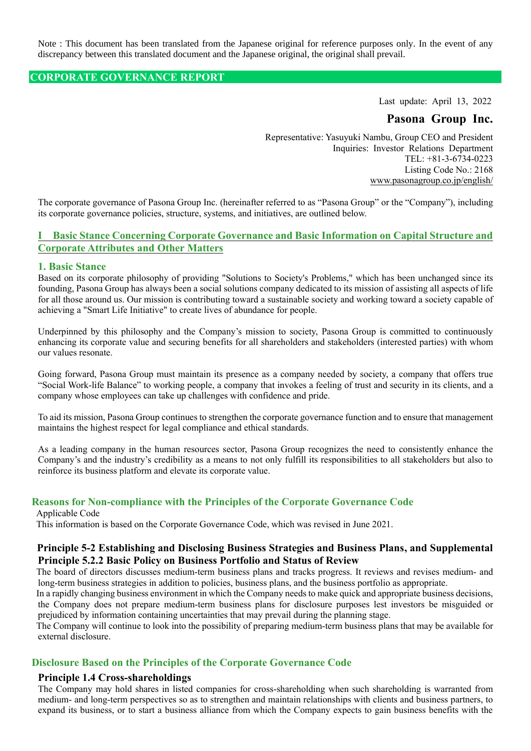Note : This document has been translated from the Japanese original for reference purposes only. In the event of any discrepancy between this translated document and the Japanese original, the original shall prevail.

#### **CORPORATE GOVERNANCE REPORT**

Last update: April 13, 2022

## **Pasona Group Inc.**

Representative: Yasuyuki Nambu, Group CEO and President Inquiries: Investor Relations Department TEL: +81-3-6734-0223 Listing Code No.: 2168 www.pasonagroup.co.jp/english/

The corporate governance of Pasona Group Inc. (hereinafter referred to as "Pasona Group" or the "Company"), including its corporate governance policies, structure, systems, and initiatives, are outlined below.

## **I Basic Stance Concerning Corporate Governance and Basic Information on Capital Structure and Corporate Attributes and Other Matters**

#### **1. Basic Stance**

Based on its corporate philosophy of providing "Solutions to Society's Problems," which has been unchanged since its founding, Pasona Group has always been a social solutions company dedicated to its mission of assisting all aspects of life for all those around us. Our mission is contributing toward a sustainable society and working toward a society capable of achieving a "Smart Life Initiative" to create lives of abundance for people.

Underpinned by this philosophy and the Company's mission to society, Pasona Group is committed to continuously enhancing its corporate value and securing benefits for all shareholders and stakeholders (interested parties) with whom our values resonate.

Going forward, Pasona Group must maintain its presence as a company needed by society, a company that offers true "Social Work-life Balance" to working people, a company that invokes a feeling of trust and security in its clients, and a company whose employees can take up challenges with confidence and pride.

To aid its mission, Pasona Group continues to strengthen the corporate governance function and to ensure that management maintains the highest respect for legal compliance and ethical standards.

As a leading company in the human resources sector, Pasona Group recognizes the need to consistently enhance the Company's and the industry's credibility as a means to not only fulfill its responsibilities to all stakeholders but also to reinforce its business platform and elevate its corporate value.

## **Reasons for Non-compliance with the Principles of the Corporate Governance Code**

#### Applicable Code

This information is based on the Corporate Governance Code, which was revised in June 2021.

#### **Principle 5-2 Establishing and Disclosing Business Strategies and Business Plans, and Supplemental Principle 5.2.2 Basic Policy on Business Portfolio and Status of Review**

The board of directors discusses medium-term business plans and tracks progress. It reviews and revises medium- and long-term business strategies in addition to policies, business plans, and the business portfolio as appropriate.

In a rapidly changing business environment in which the Company needs to make quick and appropriate business decisions, the Company does not prepare medium-term business plans for disclosure purposes lest investors be misguided or prejudiced by information containing uncertainties that may prevail during the planning stage.

The Company will continue to look into the possibility of preparing medium-term business plans that may be available for external disclosure.

#### **Disclosure Based on the Principles of the Corporate Governance Code**

#### **Principle 1.4 Cross-shareholdings**

The Company may hold shares in listed companies for cross-shareholding when such shareholding is warranted from medium- and long-term perspectives so as to strengthen and maintain relationships with clients and business partners, to expand its business, or to start a business alliance from which the Company expects to gain business benefits with the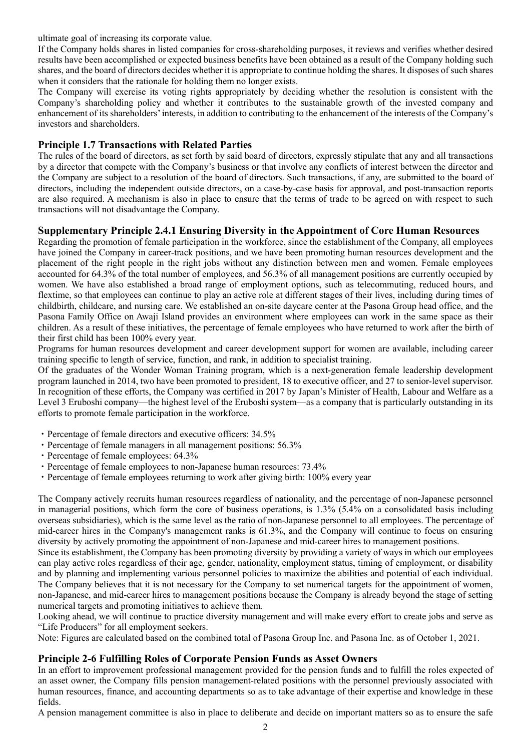ultimate goal of increasing its corporate value.

If the Company holds shares in listed companies for cross-shareholding purposes, it reviews and verifies whether desired results have been accomplished or expected business benefits have been obtained as a result of the Company holding such shares, and the board of directors decides whether it is appropriate to continue holding the shares. It disposes of such shares when it considers that the rationale for holding them no longer exists.

The Company will exercise its voting rights appropriately by deciding whether the resolution is consistent with the Company's shareholding policy and whether it contributes to the sustainable growth of the invested company and enhancement of its shareholders' interests, in addition to contributing to the enhancement of the interests of the Company's investors and shareholders.

## **Principle 1.7 Transactions with Related Parties**

The rules of the board of directors, as set forth by said board of directors, expressly stipulate that any and all transactions by a director that compete with the Company's business or that involve any conflicts of interest between the director and the Company are subject to a resolution of the board of directors. Such transactions, if any, are submitted to the board of directors, including the independent outside directors, on a case-by-case basis for approval, and post-transaction reports are also required. A mechanism is also in place to ensure that the terms of trade to be agreed on with respect to such transactions will not disadvantage the Company.

## **Supplementary Principle 2.4.1 Ensuring Diversity in the Appointment of Core Human Resources**

Regarding the promotion of female participation in the workforce, since the establishment of the Company, all employees have joined the Company in career-track positions, and we have been promoting human resources development and the placement of the right people in the right jobs without any distinction between men and women. Female employees accounted for 64.3% of the total number of employees, and 56.3% of all management positions are currently occupied by women. We have also established a broad range of employment options, such as telecommuting, reduced hours, and flextime, so that employees can continue to play an active role at different stages of their lives, including during times of childbirth, childcare, and nursing care. We established an on-site daycare center at the Pasona Group head office, and the Pasona Family Office on Awaji Island provides an environment where employees can work in the same space as their children. As a result of these initiatives, the percentage of female employees who have returned to work after the birth of their first child has been 100% every year.

Programs for human resources development and career development support for women are available, including career training specific to length of service, function, and rank, in addition to specialist training.

Of the graduates of the Wonder Woman Training program, which is a next-generation female leadership development program launched in 2014, two have been promoted to president, 18 to executive officer, and 27 to senior-level supervisor. In recognition of these efforts, the Company was certified in 2017 by Japan's Minister of Health, Labour and Welfare as a Level 3 Eruboshi company—the highest level of the Eruboshi system—as a company that is particularly outstanding in its efforts to promote female participation in the workforce.

- ・Percentage of female directors and executive officers: 34.5%
- ・Percentage of female managers in all management positions: 56.3%
- ・Percentage of female employees: 64.3%
- ・Percentage of female employees to non-Japanese human resources: 73.4%
- ・Percentage of female employees returning to work after giving birth: 100% every year

The Company actively recruits human resources regardless of nationality, and the percentage of non-Japanese personnel in managerial positions, which form the core of business operations, is 1.3% (5.4% on a consolidated basis including overseas subsidiaries), which is the same level as the ratio of non-Japanese personnel to all employees. The percentage of mid-career hires in the Company's management ranks is 61.3%, and the Company will continue to focus on ensuring diversity by actively promoting the appointment of non-Japanese and mid-career hires to management positions.

Since its establishment, the Company has been promoting diversity by providing a variety of ways in which our employees can play active roles regardless of their age, gender, nationality, employment status, timing of employment, or disability and by planning and implementing various personnel policies to maximize the abilities and potential of each individual. The Company believes that it is not necessary for the Company to set numerical targets for the appointment of women, non-Japanese, and mid-career hires to management positions because the Company is already beyond the stage of setting numerical targets and promoting initiatives to achieve them.

Looking ahead, we will continue to practice diversity management and will make every effort to create jobs and serve as "Life Producers" for all employment seekers.

Note: Figures are calculated based on the combined total of Pasona Group Inc. and Pasona Inc. as of October 1, 2021.

## **Principle 2-6 Fulfilling Roles of Corporate Pension Funds as Asset Owners**

In an effort to improvement professional management provided for the pension funds and to fulfill the roles expected of an asset owner, the Company fills pension management-related positions with the personnel previously associated with human resources, finance, and accounting departments so as to take advantage of their expertise and knowledge in these fields.

A pension management committee is also in place to deliberate and decide on important matters so as to ensure the safe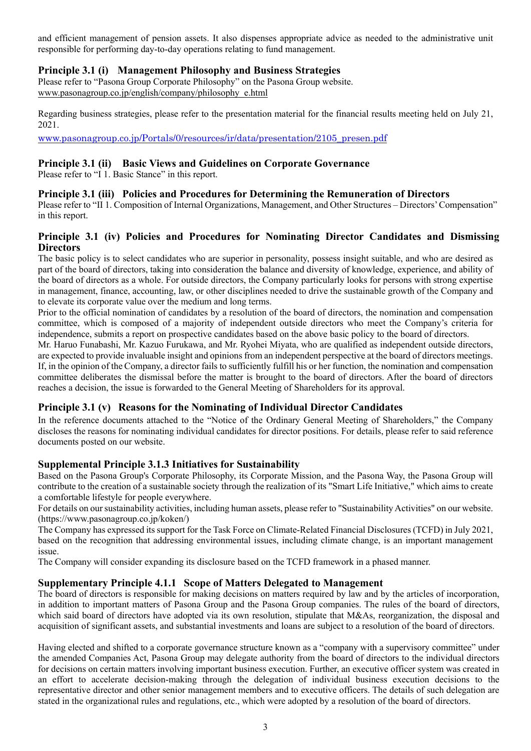and efficient management of pension assets. It also dispenses appropriate advice as needed to the administrative unit responsible for performing day-to-day operations relating to fund management.

## **Principle 3.1 (i) Management Philosophy and Business Strategies**

Please refer to "Pasona Group Corporate Philosophy" on the Pasona Group website. www.pasonagroup.co.jp/english/company/philosophy\_e.html

Regarding business strategies, please refer to the presentation material for the financial results meeting held on July 21, 2021.

[www.pasonagroup.co.jp/Portals/0/resources/ir/data/presentation/2105\\_presen.pdf](http://www.pasonagroup.co.jp/Portals/0/resources/ir/data/presentation/2105_presen.pdf)

## **Principle 3.1 (ii) Basic Views and Guidelines on Corporate Governance**

Please refer to "I 1. Basic Stance" in this report.

## **Principle 3.1 (iii) Policies and Procedures for Determining the Remuneration of Directors**

Please refer to "II 1. Composition of Internal Organizations, Management, and Other Structures – Directors' Compensation" in this report.

## **Principle 3.1 (iv) Policies and Procedures for Nominating Director Candidates and Dismissing Directors**

The basic policy is to select candidates who are superior in personality, possess insight suitable, and who are desired as part of the board of directors, taking into consideration the balance and diversity of knowledge, experience, and ability of the board of directors as a whole. For outside directors, the Company particularly looks for persons with strong expertise in management, finance, accounting, law, or other disciplines needed to drive the sustainable growth of the Company and to elevate its corporate value over the medium and long terms.

Prior to the official nomination of candidates by a resolution of the board of directors, the nomination and compensation committee, which is composed of a majority of independent outside directors who meet the Company's criteria for independence, submits a report on prospective candidates based on the above basic policy to the board of directors.

Mr. Haruo Funabashi, Mr. Kazuo Furukawa, and Mr. Ryohei Miyata, who are qualified as independent outside directors, are expected to provide invaluable insight and opinions from an independent perspective at the board of directors meetings. If, in the opinion of the Company, a director fails to sufficiently fulfill his or her function, the nomination and compensation committee deliberates the dismissal before the matter is brought to the board of directors. After the board of directors reaches a decision, the issue is forwarded to the General Meeting of Shareholders for its approval.

## **Principle 3.1 (v) Reasons for the Nominating of Individual Director Candidates**

In the reference documents attached to the "Notice of the Ordinary General Meeting of Shareholders," the Company discloses the reasons for nominating individual candidates for director positions. For details, please refer to said reference documents posted on our website.

## **Supplemental Principle 3.1.3 Initiatives for Sustainability**

Based on the Pasona Group's Corporate Philosophy, its Corporate Mission, and the Pasona Way, the Pasona Group will contribute to the creation of a sustainable society through the realization of its "Smart Life Initiative," which aims to create a comfortable lifestyle for people everywhere.

For details on our sustainability activities, including human assets, please refer to "Sustainability Activities" on our website. (https://www.pasonagroup.co.jp/koken/)

The Company has expressed its support for the Task Force on Climate-Related Financial Disclosures (TCFD) in July 2021, based on the recognition that addressing environmental issues, including climate change, is an important management issue.

The Company will consider expanding its disclosure based on the TCFD framework in a phased manner.

## **Supplementary Principle 4.1.1 Scope of Matters Delegated to Management**

The board of directors is responsible for making decisions on matters required by law and by the articles of incorporation, in addition to important matters of Pasona Group and the Pasona Group companies. The rules of the board of directors, which said board of directors have adopted via its own resolution, stipulate that M&As, reorganization, the disposal and acquisition of significant assets, and substantial investments and loans are subject to a resolution of the board of directors.

Having elected and shifted to a corporate governance structure known as a "company with a supervisory committee" under the amended Companies Act, Pasona Group may delegate authority from the board of directors to the individual directors for decisions on certain matters involving important business execution. Further, an executive officer system was created in an effort to accelerate decision-making through the delegation of individual business execution decisions to the representative director and other senior management members and to executive officers. The details of such delegation are stated in the organizational rules and regulations, etc., which were adopted by a resolution of the board of directors.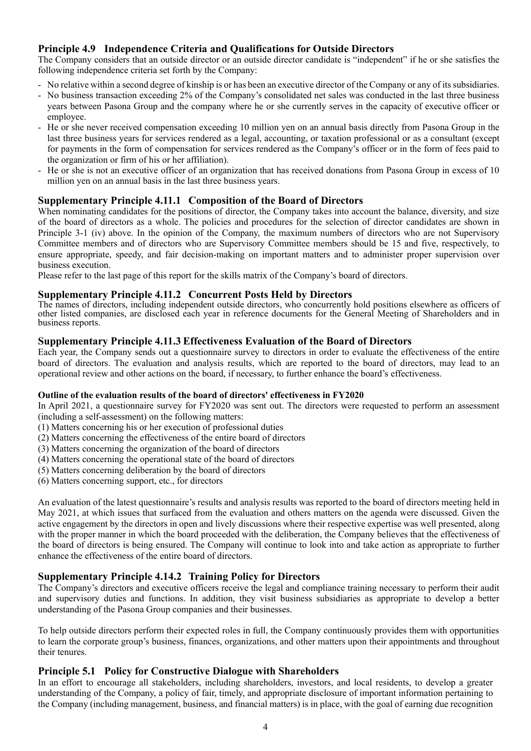## **Principle 4.9 Independence Criteria and Qualifications for Outside Directors**

The Company considers that an outside director or an outside director candidate is "independent" if he or she satisfies the following independence criteria set forth by the Company:

- No relative within a second degree of kinship is or has been an executive director of the Company or any of its subsidiaries.
- No business transaction exceeding 2% of the Company's consolidated net sales was conducted in the last three business years between Pasona Group and the company where he or she currently serves in the capacity of executive officer or employee.
- He or she never received compensation exceeding 10 million yen on an annual basis directly from Pasona Group in the last three business years for services rendered as a legal, accounting, or taxation professional or as a consultant (except for payments in the form of compensation for services rendered as the Company's officer or in the form of fees paid to the organization or firm of his or her affiliation).
- He or she is not an executive officer of an organization that has received donations from Pasona Group in excess of 10 million yen on an annual basis in the last three business years.

## **Supplementary Principle 4.11.1 Composition of the Board of Directors**

When nominating candidates for the positions of director, the Company takes into account the balance, diversity, and size of the board of directors as a whole. The policies and procedures for the selection of director candidates are shown in Principle 3-1 (iv) above. In the opinion of the Company, the maximum numbers of directors who are not Supervisory Committee members and of directors who are Supervisory Committee members should be 15 and five, respectively, to ensure appropriate, speedy, and fair decision-making on important matters and to administer proper supervision over business execution.

Please refer to the last page of this report for the skills matrix of the Company's board of directors.

#### **Supplementary Principle 4.11.2 Concurrent Posts Held by Directors**

The names of directors, including independent outside directors, who concurrently hold positions elsewhere as officers of other listed companies, are disclosed each year in reference documents for the General Meeting of Shareholders and in business reports.

## **Supplementary Principle 4.11.3 Effectiveness Evaluation of the Board of Directors**

Each year, the Company sends out a questionnaire survey to directors in order to evaluate the effectiveness of the entire board of directors. The evaluation and analysis results, which are reported to the board of directors, may lead to an operational review and other actions on the board, if necessary, to further enhance the board's effectiveness.

#### **Outline of the evaluation results of the board of directors' effectiveness in FY2020**

In April 2021, a questionnaire survey for FY2020 was sent out. The directors were requested to perform an assessment (including a self-assessment) on the following matters:

(1) Matters concerning his or her execution of professional duties

(2) Matters concerning the effectiveness of the entire board of directors

(3) Matters concerning the organization of the board of directors

(4) Matters concerning the operational state of the board of directors

(5) Matters concerning deliberation by the board of directors

(6) Matters concerning support, etc., for directors

An evaluation of the latest questionnaire's results and analysis results was reported to the board of directors meeting held in May 2021, at which issues that surfaced from the evaluation and others matters on the agenda were discussed. Given the active engagement by the directors in open and lively discussions where their respective expertise was well presented, along with the proper manner in which the board proceeded with the deliberation, the Company believes that the effectiveness of the board of directors is being ensured. The Company will continue to look into and take action as appropriate to further enhance the effectiveness of the entire board of directors.

#### **Supplementary Principle 4.14.2 Training Policy for Directors**

The Company's directors and executive officers receive the legal and compliance training necessary to perform their audit and supervisory duties and functions. In addition, they visit business subsidiaries as appropriate to develop a better understanding of the Pasona Group companies and their businesses.

To help outside directors perform their expected roles in full, the Company continuously provides them with opportunities to learn the corporate group's business, finances, organizations, and other matters upon their appointments and throughout their tenures.

#### **Principle 5.1 Policy for Constructive Dialogue with Shareholders**

In an effort to encourage all stakeholders, including shareholders, investors, and local residents, to develop a greater understanding of the Company, a policy of fair, timely, and appropriate disclosure of important information pertaining to the Company (including management, business, and financial matters) is in place, with the goal of earning due recognition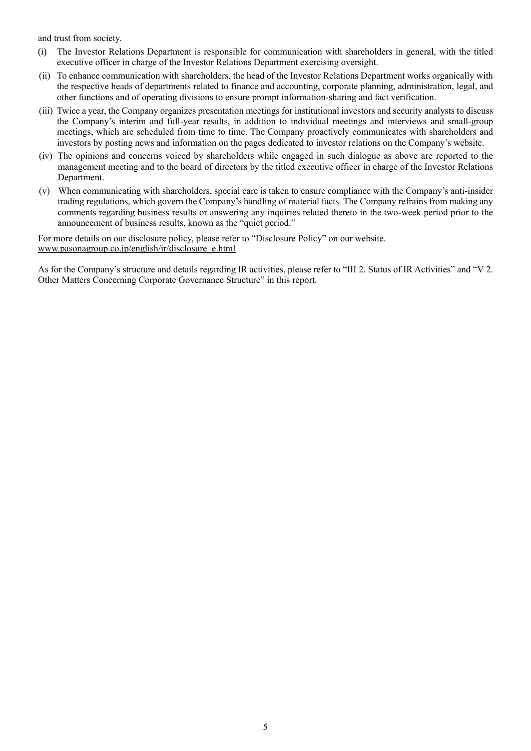and trust from society.

- (i) The Investor Relations Department is responsible for communication with shareholders in general, with the titled executive officer in charge of the Investor Relations Department exercising oversight.
- (ii) To enhance communication with shareholders, the head of the Investor Relations Department works organically with the respective heads of departments related to finance and accounting, corporate planning, administration, legal, and other functions and of operating divisions to ensure prompt information-sharing and fact verification.
- (iii) Twice a year, the Company organizes presentation meetings for institutional investors and security analysts to discuss the Company's interim and full-year results, in addition to individual meetings and interviews and small-group meetings, which are scheduled from time to time. The Company proactively communicates with shareholders and investors by posting news and information on the pages dedicated to investor relations on the Company's website.
- (iv) The opinions and concerns voiced by shareholders while engaged in such dialogue as above are reported to the management meeting and to the board of directors by the titled executive officer in charge of the Investor Relations Department.
- (v) When communicating with shareholders, special care is taken to ensure compliance with the Company's anti-insider trading regulations, which govern the Company's handling of material facts. The Company refrains from making any comments regarding business results or answering any inquiries related thereto in the two-week period prior to the announcement of business results, known as the "quiet period."

For more details on our disclosure policy, please refer to "Disclosure Policy" on our website. www.pasonagroup.co.jp/english/ir/disclosure\_e.html

As for the Company's structure and details regarding IR activities, please refer to "III 2. Status of IR Activities" and "V 2. Other Matters Concerning Corporate Governance Structure" in this report.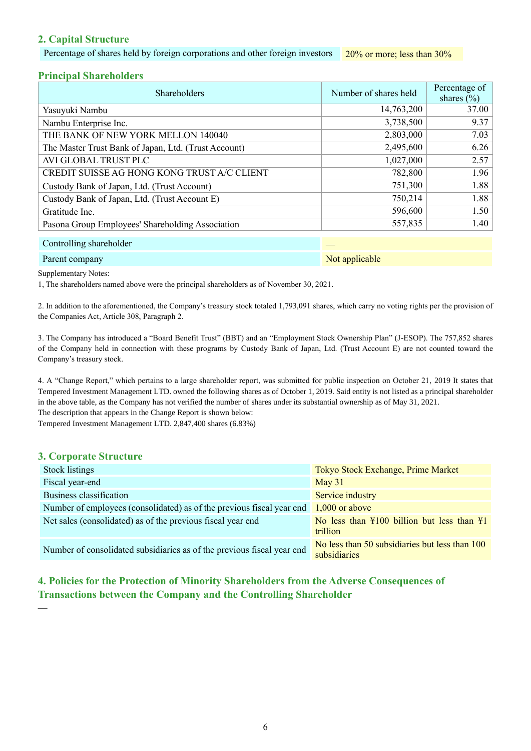## **2. Capital Structure**

Percentage of shares held by foreign corporations and other foreign investors 20% or more; less than 30%

## **Principal Shareholders**

| <b>Shareholders</b>                                  | Number of shares held | Percentage of<br>shares $(\% )$ |
|------------------------------------------------------|-----------------------|---------------------------------|
| Yasuyuki Nambu                                       | 14,763,200            | 37.00                           |
| Nambu Enterprise Inc.                                | 3,738,500             | 9.37                            |
| THE BANK OF NEW YORK MELLON 140040                   | 2,803,000             | 7.03                            |
| The Master Trust Bank of Japan, Ltd. (Trust Account) | 2,495,600             | 6.26                            |
| AVI GLOBAL TRUST PLC                                 | 1,027,000             | 2.57                            |
| CREDIT SUISSE AG HONG KONG TRUST A/C CLIENT          | 782,800               | 1.96                            |
| Custody Bank of Japan, Ltd. (Trust Account)          | 751,300               | 1.88                            |
| Custody Bank of Japan, Ltd. (Trust Account E)        | 750,214               | 1.88                            |
| Gratitude Inc.                                       | 596,600               | 1.50                            |
| Pasona Group Employees' Shareholding Association     | 557,835               | 1.40                            |
|                                                      |                       |                                 |

#### Controlling shareholder —

#### Parent company Not applicable and the company Not applicable

Supplementary Notes:

1, The shareholders named above were the principal shareholders as of November 30, 2021.

2. In addition to the aforementioned, the Company's treasury stock totaled 1,793,091 shares, which carry no voting rights per the provision of the Companies Act, Article 308, Paragraph 2.

3. The Company has introduced a "Board Benefit Trust" (BBT) and an "Employment Stock Ownership Plan" (J-ESOP). The 757,852 shares of the Company held in connection with these programs by Custody Bank of Japan, Ltd. (Trust Account E) are not counted toward the Company's treasury stock.

4. A "Change Report," which pertains to a large shareholder report, was submitted for public inspection on October 21, 2019 It states that Tempered Investment Management LTD. owned the following shares as of October 1, 2019. Said entity is not listed as a principal shareholder in the above table, as the Company has not verified the number of shares under its substantial ownership as of May 31, 2021. The description that appears in the Change Report is shown below:

Tempered Investment Management LTD. 2,847,400 shares (6.83%)

## **3. Corporate Structure**

 $\overline{\phantom{a}}$ 

| <b>Stock listings</b>                                                                  | Tokyo Stock Exchange, Prime Market                                                |
|----------------------------------------------------------------------------------------|-----------------------------------------------------------------------------------|
| Fiscal year-end                                                                        | May $31$                                                                          |
| Business classification                                                                | Service industry                                                                  |
| Number of employees (consolidated) as of the previous fiscal year end $1,000$ or above |                                                                                   |
| Net sales (consolidated) as of the previous fiscal year end                            | No less than $\frac{100}{100}$ billion but less than $\frac{11}{100}$<br>trillion |
| Number of consolidated subsidiaries as of the previous fiscal year end                 | No less than 50 subsidiaries but less than 100<br>subsidiaries                    |

# **4. Policies for the Protection of Minority Shareholders from the Adverse Consequences of Transactions between the Company and the Controlling Shareholder**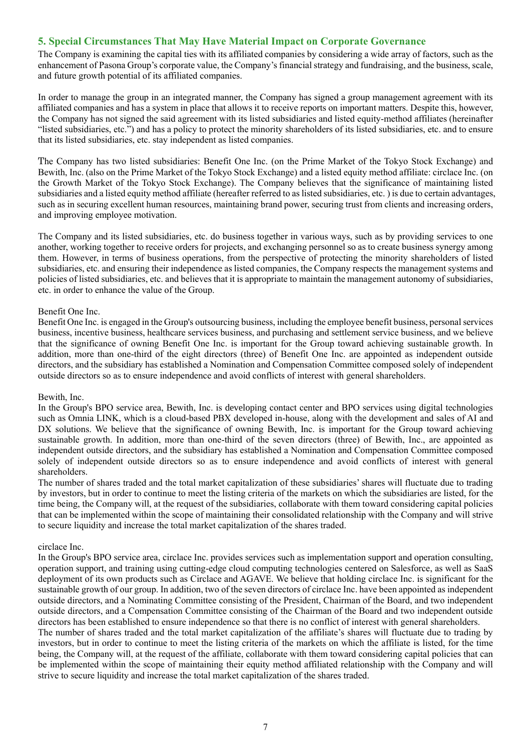## **5. Special Circumstances That May Have Material Impact on Corporate Governance**

The Company is examining the capital ties with its affiliated companies by considering a wide array of factors, such as the enhancement of Pasona Group's corporate value, the Company's financial strategy and fundraising, and the business, scale, and future growth potential of its affiliated companies.

In order to manage the group in an integrated manner, the Company has signed a group management agreement with its affiliated companies and has a system in place that allows it to receive reports on important matters. Despite this, however, the Company has not signed the said agreement with its listed subsidiaries and listed equity-method affiliates (hereinafter "listed subsidiaries, etc.") and has a policy to protect the minority shareholders of its listed subsidiaries, etc. and to ensure that its listed subsidiaries, etc. stay independent as listed companies.

The Company has two listed subsidiaries: Benefit One Inc. (on the Prime Market of the Tokyo Stock Exchange) and Bewith, Inc. (also on the Prime Market of the Tokyo Stock Exchange) and a listed equity method affiliate: circlace Inc. (on the Growth Market of the Tokyo Stock Exchange). The Company believes that the significance of maintaining listed subsidiaries and a listed equity method affiliate (hereafter referred to as listed subsidiaries, etc. ) is due to certain advantages, such as in securing excellent human resources, maintaining brand power, securing trust from clients and increasing orders, and improving employee motivation.

The Company and its listed subsidiaries, etc. do business together in various ways, such as by providing services to one another, working together to receive orders for projects, and exchanging personnel so as to create business synergy among them. However, in terms of business operations, from the perspective of protecting the minority shareholders of listed subsidiaries, etc. and ensuring their independence as listed companies, the Company respects the management systems and policies of listed subsidiaries, etc. and believes that it is appropriate to maintain the management autonomy of subsidiaries, etc. in order to enhance the value of the Group.

#### Benefit One Inc.

Benefit One Inc. is engaged in the Group's outsourcing business, including the employee benefit business, personal services business, incentive business, healthcare services business, and purchasing and settlement service business, and we believe that the significance of owning Benefit One Inc. is important for the Group toward achieving sustainable growth. In addition, more than one-third of the eight directors (three) of Benefit One Inc. are appointed as independent outside directors, and the subsidiary has established a Nomination and Compensation Committee composed solely of independent outside directors so as to ensure independence and avoid conflicts of interest with general shareholders.

#### Bewith, Inc.

In the Group's BPO service area, Bewith, Inc. is developing contact center and BPO services using digital technologies such as Omnia LINK, which is a cloud-based PBX developed in-house, along with the development and sales of AI and DX solutions. We believe that the significance of owning Bewith, Inc. is important for the Group toward achieving sustainable growth. In addition, more than one-third of the seven directors (three) of Bewith, Inc., are appointed as independent outside directors, and the subsidiary has established a Nomination and Compensation Committee composed solely of independent outside directors so as to ensure independence and avoid conflicts of interest with general shareholders.

The number of shares traded and the total market capitalization of these subsidiaries' shares will fluctuate due to trading by investors, but in order to continue to meet the listing criteria of the markets on which the subsidiaries are listed, for the time being, the Company will, at the request of the subsidiaries, collaborate with them toward considering capital policies that can be implemented within the scope of maintaining their consolidated relationship with the Company and will strive to secure liquidity and increase the total market capitalization of the shares traded.

#### circlace Inc.

In the Group's BPO service area, circlace Inc. provides services such as implementation support and operation consulting, operation support, and training using cutting-edge cloud computing technologies centered on Salesforce, as well as SaaS deployment of its own products such as Circlace and AGAVE. We believe that holding circlace Inc. is significant for the sustainable growth of our group. In addition, two of the seven directors of circlace Inc. have been appointed as independent outside directors, and a Nominating Committee consisting of the President, Chairman of the Board, and two independent outside directors, and a Compensation Committee consisting of the Chairman of the Board and two independent outside directors has been established to ensure independence so that there is no conflict of interest with general shareholders.

The number of shares traded and the total market capitalization of the affiliate's shares will fluctuate due to trading by investors, but in order to continue to meet the listing criteria of the markets on which the affiliate is listed, for the time being, the Company will, at the request of the affiliate, collaborate with them toward considering capital policies that can be implemented within the scope of maintaining their equity method affiliated relationship with the Company and will strive to secure liquidity and increase the total market capitalization of the shares traded.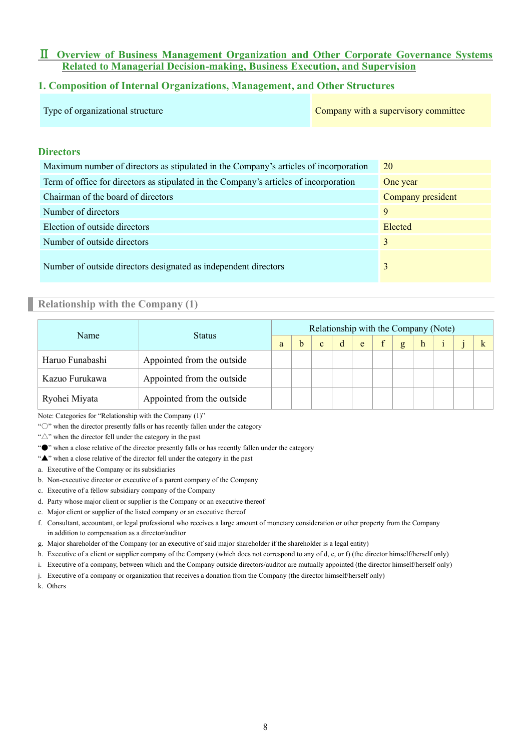## Ⅱ **Overview of Business Management Organization and Other Corporate Governance Systems Related to Managerial Decision-making, Business Execution, and Supervision**

## **1. Composition of Internal Organizations, Management, and Other Structures**

| Type of organizational structure | Company with a supervisory committee |
|----------------------------------|--------------------------------------|
|----------------------------------|--------------------------------------|

## **Directors**

| Maximum number of directors as stipulated in the Company's articles of incorporation  | 20                |
|---------------------------------------------------------------------------------------|-------------------|
| Term of office for directors as stipulated in the Company's articles of incorporation | One year          |
| Chairman of the board of directors                                                    | Company president |
| Number of directors                                                                   | 9                 |
| Election of outside directors                                                         | Elected           |
| Number of outside directors                                                           | 3                 |
| Number of outside directors designated as independent directors                       | 3                 |

## **Relationship with the Company (1)**

| Name            | <b>Status</b>              |  |   |              |             |   |              |   | Relationship with the Company (Note) |  |
|-----------------|----------------------------|--|---|--------------|-------------|---|--------------|---|--------------------------------------|--|
|                 |                            |  | h | $\mathbf{c}$ | $\mathbf d$ | e | $\mathbf{g}$ | h |                                      |  |
| Haruo Funabashi | Appointed from the outside |  |   |              |             |   |              |   |                                      |  |
| Kazuo Furukawa  | Appointed from the outside |  |   |              |             |   |              |   |                                      |  |
| Ryohei Miyata   | Appointed from the outside |  |   |              |             |   |              |   |                                      |  |

Note: Categories for "Relationship with the Company (1)"

"○" when the director presently falls or has recently fallen under the category

"△" when the director fell under the category in the past

"●" when a close relative of the director presently falls or has recently fallen under the category

"▲" when a close relative of the director fell under the category in the past

- a. Executive of the Company or its subsidiaries
- b. Non-executive director or executive of a parent company of the Company
- c. Executive of a fellow subsidiary company of the Company
- d. Party whose major client or supplier is the Company or an executive thereof
- e. Major client or supplier of the listed company or an executive thereof
- f. Consultant, accountant, or legal professional who receives a large amount of monetary consideration or other property from the Company in addition to compensation as a director/auditor
- g. Major shareholder of the Company (or an executive of said major shareholder if the shareholder is a legal entity)
- h. Executive of a client or supplier company of the Company (which does not correspond to any of d, e, or f) (the director himself/herself only)
- i. Executive of a company, between which and the Company outside directors/auditor are mutually appointed (the director himself/herself only)
- j. Executive of a company or organization that receives a donation from the Company (the director himself/herself only)

k. Others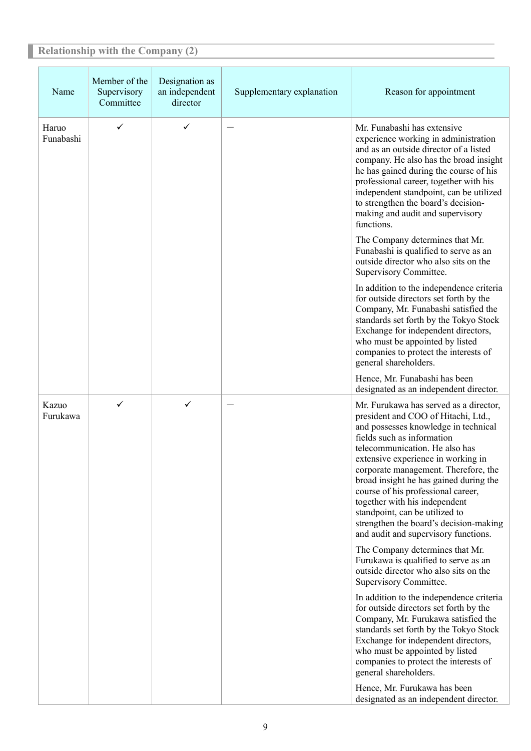#### **Relationship with the Company (2)** Name Member of the Supervisory Committee Designation as an independent director Supplementary explanation Reason for appointment Haruo Funabashi  $\checkmark$   $\checkmark$  -  $\checkmark$  -  $\checkmark$  Mr. Funabashi has extensive experience working in administration and as an outside director of a listed company. He also has the broad insight he has gained during the course of his professional career, together with his independent standpoint, can be utilized to strengthen the board's decisionmaking and audit and supervisory functions. The Company determines that Mr. Funabashi is qualified to serve as an outside director who also sits on the Supervisory Committee. In addition to the independence criteria for outside directors set forth by the Company, Mr. Funabashi satisfied the standards set forth by the Tokyo Stock Exchange for independent directors, who must be appointed by listed companies to protect the interests of general shareholders. Hence, Mr. Funabashi has been designated as an independent director. Kazuo Furukawa  $\checkmark$  -  $\checkmark$  -  $\checkmark$  -  $\checkmark$  Mr. Furukawa has served as a director, president and COO of Hitachi, Ltd., and possesses knowledge in technical fields such as information telecommunication. He also has extensive experience in working in corporate management. Therefore, the broad insight he has gained during the course of his professional career, together with his independent standpoint, can be utilized to strengthen the board's decision-making and audit and supervisory functions. The Company determines that Mr. Furukawa is qualified to serve as an outside director who also sits on the Supervisory Committee. In addition to the independence criteria for outside directors set forth by the Company, Mr. Furukawa satisfied the standards set forth by the Tokyo Stock Exchange for independent directors, who must be appointed by listed companies to protect the interests of general shareholders.

Hence, Mr. Furukawa has been designated as an independent director.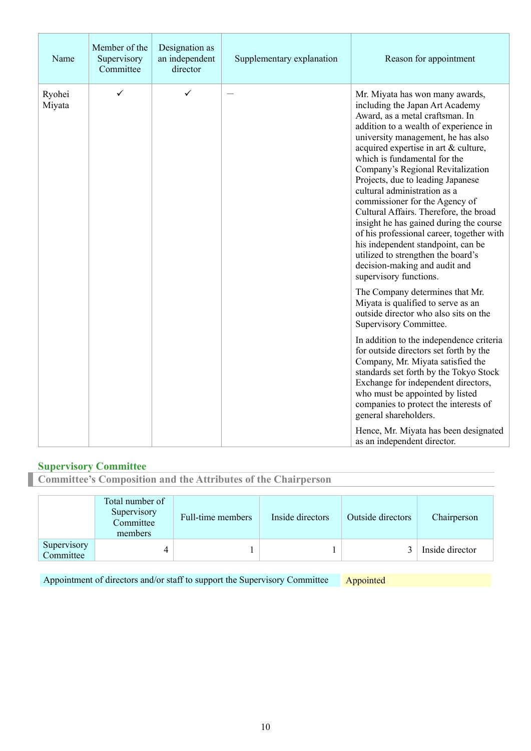| Name             | Member of the<br>Supervisory<br>Committee | Designation as<br>an independent<br>director | Supplementary explanation | Reason for appointment                                                                                                                                                                                                                                                                                                                                                                                                                                                                                                                                                                                                                                                                                                                                                                                                                                                                                              |
|------------------|-------------------------------------------|----------------------------------------------|---------------------------|---------------------------------------------------------------------------------------------------------------------------------------------------------------------------------------------------------------------------------------------------------------------------------------------------------------------------------------------------------------------------------------------------------------------------------------------------------------------------------------------------------------------------------------------------------------------------------------------------------------------------------------------------------------------------------------------------------------------------------------------------------------------------------------------------------------------------------------------------------------------------------------------------------------------|
| Ryohei<br>Miyata | ✓                                         | ✓                                            |                           | Mr. Miyata has won many awards,<br>including the Japan Art Academy<br>Award, as a metal craftsman. In<br>addition to a wealth of experience in<br>university management, he has also<br>acquired expertise in art & culture,<br>which is fundamental for the<br>Company's Regional Revitalization<br>Projects, due to leading Japanese<br>cultural administration as a<br>commissioner for the Agency of<br>Cultural Affairs. Therefore, the broad<br>insight he has gained during the course<br>of his professional career, together with<br>his independent standpoint, can be<br>utilized to strengthen the board's<br>decision-making and audit and<br>supervisory functions.<br>The Company determines that Mr.<br>Miyata is qualified to serve as an<br>outside director who also sits on the<br>Supervisory Committee.<br>In addition to the independence criteria<br>for outside directors set forth by the |
|                  |                                           |                                              |                           | Company, Mr. Miyata satisfied the<br>standards set forth by the Tokyo Stock<br>Exchange for independent directors,<br>who must be appointed by listed<br>companies to protect the interests of<br>general shareholders.                                                                                                                                                                                                                                                                                                                                                                                                                                                                                                                                                                                                                                                                                             |
|                  |                                           |                                              |                           | Hence, Mr. Miyata has been designated<br>as an independent director.                                                                                                                                                                                                                                                                                                                                                                                                                                                                                                                                                                                                                                                                                                                                                                                                                                                |

# **Supervisory Committee**

**Committee's Composition and the Attributes of the Chairperson**

|                          | Total number of<br>Supervisory<br>Committee<br>members | Full-time members | Inside directors | Outside directors | Chairperson     |
|--------------------------|--------------------------------------------------------|-------------------|------------------|-------------------|-----------------|
| Supervisory<br>Committee |                                                        |                   |                  |                   | Inside director |

Appointment of directors and/or staff to support the Supervisory Committee Appointed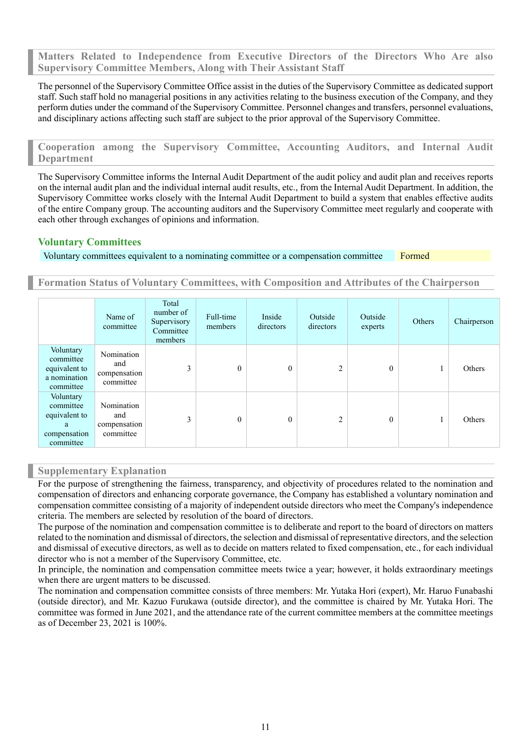**Matters Related to Independence from Executive Directors of the Directors Who Are also Supervisory Committee Members, Along with Their Assistant Staff**

The personnel of the Supervisory Committee Office assist in the duties of the Supervisory Committee as dedicated support staff. Such staff hold no managerial positions in any activities relating to the business execution of the Company, and they perform duties under the command of the Supervisory Committee. Personnel changes and transfers, personnel evaluations, and disciplinary actions affecting such staff are subject to the prior approval of the Supervisory Committee.

**Cooperation among the Supervisory Committee, Accounting Auditors, and Internal Audit Department**

The Supervisory Committee informs the Internal Audit Department of the audit policy and audit plan and receives reports on the internal audit plan and the individual internal audit results, etc., from the Internal Audit Department. In addition, the Supervisory Committee works closely with the Internal Audit Department to build a system that enables effective audits of the entire Company group. The accounting auditors and the Supervisory Committee meet regularly and cooperate with each other through exchanges of opinions and information.

## **Voluntary Committees**

Voluntary committees equivalent to a nominating committee or a compensation committee Formed

**Formation Status of Voluntary Committees, with Composition and Attributes of the Chairperson**

|                                                                           | Name of<br>committee                           | Total<br>number of<br>Supervisory<br>Committee<br>members | Full-time<br>members | Inside<br>directors | Outside<br>directors | Outside<br>experts | Others | Chairperson |
|---------------------------------------------------------------------------|------------------------------------------------|-----------------------------------------------------------|----------------------|---------------------|----------------------|--------------------|--------|-------------|
| Voluntary<br>committee<br>equivalent to<br>a nomination<br>committee      | Nomination<br>and<br>compensation<br>committee | 3                                                         | $\theta$             | $\Omega$            | 2                    | $\overline{0}$     |        | Others      |
| Voluntary<br>committee<br>equivalent to<br>a<br>compensation<br>committee | Nomination<br>and<br>compensation<br>committee | 3                                                         | $\mathbf{0}$         | $\theta$            | $\overline{c}$       | $\overline{0}$     |        | Others      |

#### **Supplementary Explanation**

For the purpose of strengthening the fairness, transparency, and objectivity of procedures related to the nomination and compensation of directors and enhancing corporate governance, the Company has established a voluntary nomination and compensation committee consisting of a majority of independent outside directors who meet the Company's independence criteria. The members are selected by resolution of the board of directors.

The purpose of the nomination and compensation committee is to deliberate and report to the board of directors on matters related to the nomination and dismissal of directors, the selection and dismissal of representative directors, and the selection and dismissal of executive directors, as well as to decide on matters related to fixed compensation, etc., for each individual director who is not a member of the Supervisory Committee, etc.

In principle, the nomination and compensation committee meets twice a year; however, it holds extraordinary meetings when there are urgent matters to be discussed.

The nomination and compensation committee consists of three members: Mr. Yutaka Hori (expert), Mr. Haruo Funabashi (outside director), and Mr. Kazuo Furukawa (outside director), and the committee is chaired by Mr. Yutaka Hori. The committee was formed in June 2021, and the attendance rate of the current committee members at the committee meetings as of December 23, 2021 is 100%.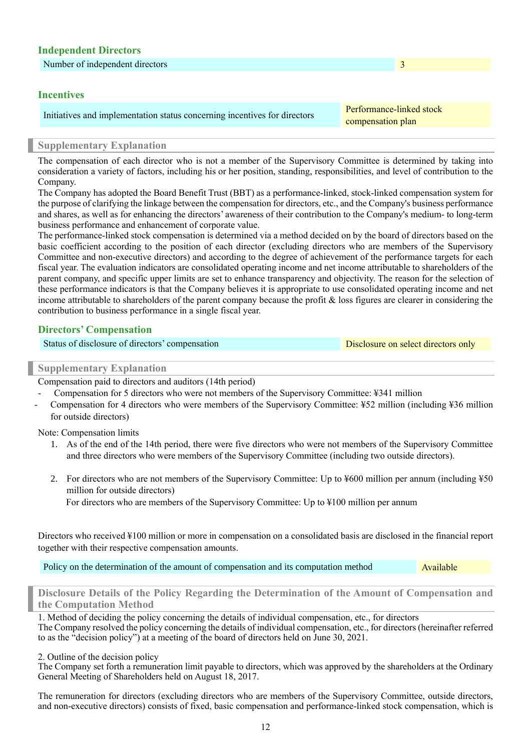| <b>Independent Directors</b>                                                                   |                                               |
|------------------------------------------------------------------------------------------------|-----------------------------------------------|
| Number of independent directors                                                                | 3                                             |
| <b>Incentives</b><br>Initiatives and implementation status concerning incentives for directors | Performance-linked stock<br>compensation plan |
|                                                                                                |                                               |

## **Supplementary Explanation**

The compensation of each director who is not a member of the Supervisory Committee is determined by taking into consideration a variety of factors, including his or her position, standing, responsibilities, and level of contribution to the Company.

The Company has adopted the Board Benefit Trust (BBT) as a performance-linked, stock-linked compensation system for the purpose of clarifying the linkage between the compensation for directors, etc., and the Company's business performance and shares, as well as for enhancing the directors' awareness of their contribution to the Company's medium- to long-term business performance and enhancement of corporate value.

The performance-linked stock compensation is determined via a method decided on by the board of directors based on the basic coefficient according to the position of each director (excluding directors who are members of the Supervisory Committee and non-executive directors) and according to the degree of achievement of the performance targets for each fiscal year. The evaluation indicators are consolidated operating income and net income attributable to shareholders of the parent company, and specific upper limits are set to enhance transparency and objectivity. The reason for the selection of these performance indicators is that the Company believes it is appropriate to use consolidated operating income and net income attributable to shareholders of the parent company because the profit & loss figures are clearer in considering the contribution to business performance in a single fiscal year.

## **Directors' Compensation**

#### **Supplementary Explanation**

Compensation paid to directors and auditors (14th period)

- Compensation for 5 directors who were not members of the Supervisory Committee: ¥341 million
- Compensation for 4 directors who were members of the Supervisory Committee: ¥52 million (including ¥36 million for outside directors)

Note: Compensation limits

- 1. As of the end of the 14th period, there were five directors who were not members of the Supervisory Committee and three directors who were members of the Supervisory Committee (including two outside directors).
- 2. For directors who are not members of the Supervisory Committee: Up to ¥600 million per annum (including ¥50 million for outside directors)

For directors who are members of the Supervisory Committee: Up to ¥100 million per annum

Directors who received ¥100 million or more in compensation on a consolidated basis are disclosed in the financial report together with their respective compensation amounts.

Policy on the determination of the amount of compensation and its computation method Available

**Disclosure Details of the Policy Regarding the Determination of the Amount of Compensation and the Computation Method**

1. Method of deciding the policy concerning the details of individual compensation, etc., for directors The Company resolved the policy concerning the details of individual compensation, etc., for directors (hereinafter referred to as the "decision policy") at a meeting of the board of directors held on June 30, 2021.

#### 2. Outline of the decision policy

The Company set forth a remuneration limit payable to directors, which was approved by the shareholders at the Ordinary General Meeting of Shareholders held on August 18, 2017.

The remuneration for directors (excluding directors who are members of the Supervisory Committee, outside directors, and non-executive directors) consists of fixed, basic compensation and performance-linked stock compensation, which is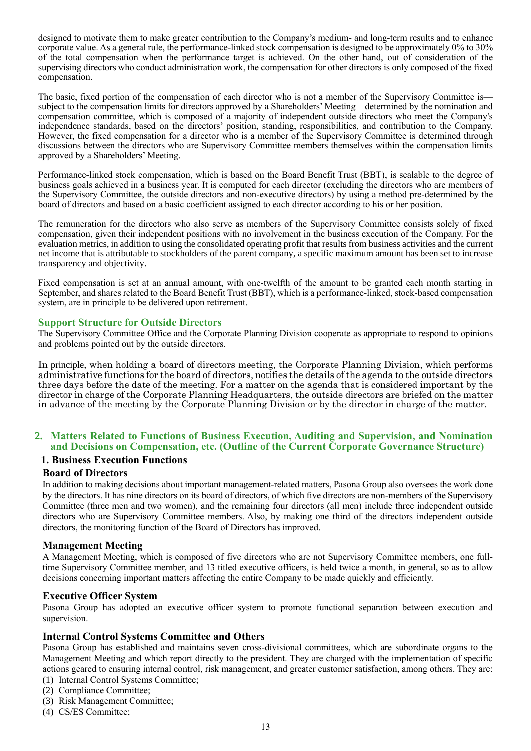designed to motivate them to make greater contribution to the Company's medium- and long-term results and to enhance corporate value. As a general rule, the performance-linked stock compensation is designed to be approximately 0% to 30% of the total compensation when the performance target is achieved. On the other hand, out of consideration of the supervising directors who conduct administration work, the compensation for other directors is only composed of the fixed compensation.

The basic, fixed portion of the compensation of each director who is not a member of the Supervisory Committee is subject to the compensation limits for directors approved by a Shareholders' Meeting—determined by the nomination and compensation committee, which is composed of a majority of independent outside directors who meet the Company's independence standards, based on the directors' position, standing, responsibilities, and contribution to the Company. However, the fixed compensation for a director who is a member of the Supervisory Committee is determined through discussions between the directors who are Supervisory Committee members themselves within the compensation limits approved by a Shareholders' Meeting.

Performance-linked stock compensation, which is based on the Board Benefit Trust (BBT), is scalable to the degree of business goals achieved in a business year. It is computed for each director (excluding the directors who are members of the Supervisory Committee, the outside directors and non-executive directors) by using a method pre-determined by the board of directors and based on a basic coefficient assigned to each director according to his or her position.

The remuneration for the directors who also serve as members of the Supervisory Committee consists solely of fixed compensation, given their independent positions with no involvement in the business execution of the Company. For the evaluation metrics, in addition to using the consolidated operating profit that results from business activities and the current net income that is attributable to stockholders of the parent company, a specific maximum amount has been set to increase transparency and objectivity.

Fixed compensation is set at an annual amount, with one-twelfth of the amount to be granted each month starting in September, and shares related to the Board Benefit Trust (BBT), which is a performance-linked, stock-based compensation system, are in principle to be delivered upon retirement.

## **Support Structure for Outside Directors**

The Supervisory Committee Office and the Corporate Planning Division cooperate as appropriate to respond to opinions and problems pointed out by the outside directors.

In principle, when holding a board of directors meeting, the Corporate Planning Division, which performs administrative functions for the board of directors, notifies the details of the agenda to the outside directors three days before the date of the meeting. For a matter on the agenda that is considered important by the director in charge of the Corporate Planning Headquarters, the outside directors are briefed on the matter in advance of the meeting by the Corporate Planning Division or by the director in charge of the matter.

## **2. Matters Related to Functions of Business Execution, Auditing and Supervision, and Nomination and Decisions on Compensation, etc. (Outline of the Current Corporate Governance Structure)**

#### **1. Business Execution Functions**

#### **Board of Directors**

In addition to making decisions about important management-related matters, Pasona Group also oversees the work done by the directors. It has nine directors on its board of directors, of which five directors are non-members of the Supervisory Committee (three men and two women), and the remaining four directors (all men) include three independent outside directors who are Supervisory Committee members. Also, by making one third of the directors independent outside directors, the monitoring function of the Board of Directors has improved.

#### **Management Meeting**

A Management Meeting, which is composed of five directors who are not Supervisory Committee members, one fulltime Supervisory Committee member, and 13 titled executive officers, is held twice a month, in general, so as to allow decisions concerning important matters affecting the entire Company to be made quickly and efficiently.

#### **Executive Officer System**

Pasona Group has adopted an executive officer system to promote functional separation between execution and supervision.

#### **Internal Control Systems Committee and Others**

Pasona Group has established and maintains seven cross-divisional committees, which are subordinate organs to the Management Meeting and which report directly to the president. They are charged with the implementation of specific actions geared to ensuring internal control, risk management, and greater customer satisfaction, among others. They are:

- (1) Internal Control Systems Committee;
- (2) Compliance Committee;
- (3) Risk Management Committee;
- (4) CS/ES Committee;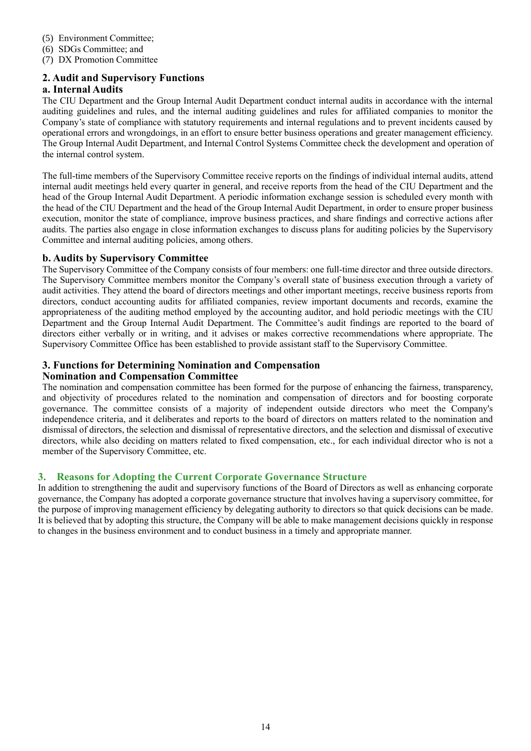- (5) Environment Committee;
- (6) SDGs Committee; and
- (7) DX Promotion Committee

## **2. Audit and Supervisory Functions**

## **a. Internal Audits**

The CIU Department and the Group Internal Audit Department conduct internal audits in accordance with the internal auditing guidelines and rules, and the internal auditing guidelines and rules for affiliated companies to monitor the Company's state of compliance with statutory requirements and internal regulations and to prevent incidents caused by operational errors and wrongdoings, in an effort to ensure better business operations and greater management efficiency. The Group Internal Audit Department, and Internal Control Systems Committee check the development and operation of the internal control system.

The full-time members of the Supervisory Committee receive reports on the findings of individual internal audits, attend internal audit meetings held every quarter in general, and receive reports from the head of the CIU Department and the head of the Group Internal Audit Department. A periodic information exchange session is scheduled every month with the head of the CIU Department and the head of the Group Internal Audit Department, in order to ensure proper business execution, monitor the state of compliance, improve business practices, and share findings and corrective actions after audits. The parties also engage in close information exchanges to discuss plans for auditing policies by the Supervisory Committee and internal auditing policies, among others.

## **b. Audits by Supervisory Committee**

The Supervisory Committee of the Company consists of four members: one full-time director and three outside directors. The Supervisory Committee members monitor the Company's overall state of business execution through a variety of audit activities. They attend the board of directors meetings and other important meetings, receive business reports from directors, conduct accounting audits for affiliated companies, review important documents and records, examine the appropriateness of the auditing method employed by the accounting auditor, and hold periodic meetings with the CIU Department and the Group Internal Audit Department. The Committee's audit findings are reported to the board of directors either verbally or in writing, and it advises or makes corrective recommendations where appropriate. The Supervisory Committee Office has been established to provide assistant staff to the Supervisory Committee.

## **3. Functions for Determining Nomination and Compensation**

#### **Nomination and Compensation Committee**

The nomination and compensation committee has been formed for the purpose of enhancing the fairness, transparency, and objectivity of procedures related to the nomination and compensation of directors and for boosting corporate governance. The committee consists of a majority of independent outside directors who meet the Company's independence criteria, and it deliberates and reports to the board of directors on matters related to the nomination and dismissal of directors, the selection and dismissal of representative directors, and the selection and dismissal of executive directors, while also deciding on matters related to fixed compensation, etc., for each individual director who is not a member of the Supervisory Committee, etc.

## **3. Reasons for Adopting the Current Corporate Governance Structure**

In addition to strengthening the audit and supervisory functions of the Board of Directors as well as enhancing corporate governance, the Company has adopted a corporate governance structure that involves having a supervisory committee, for the purpose of improving management efficiency by delegating authority to directors so that quick decisions can be made. It is believed that by adopting this structure, the Company will be able to make management decisions quickly in response to changes in the business environment and to conduct business in a timely and appropriate manner.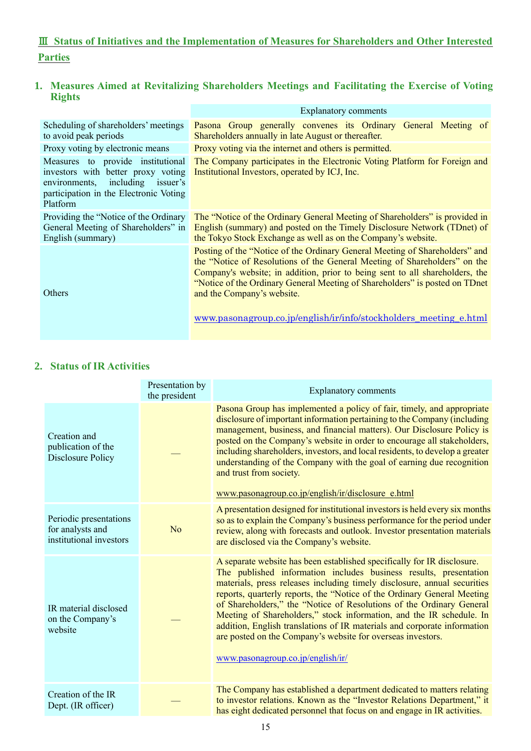# Ⅲ **Status of Initiatives and the Implementation of Measures for Shareholders and Other Interested Parties**

# **1. Measures Aimed at Revitalizing Shareholders Meetings and Facilitating the Exercise of Voting Rights**

|                                                                                                                                                                      | <b>Explanatory comments</b>                                                                                                                                                                                                                                                                                                                           |
|----------------------------------------------------------------------------------------------------------------------------------------------------------------------|-------------------------------------------------------------------------------------------------------------------------------------------------------------------------------------------------------------------------------------------------------------------------------------------------------------------------------------------------------|
| Scheduling of shareholders' meetings<br>to avoid peak periods                                                                                                        | Pasona Group generally convenes its Ordinary General Meeting of<br>Shareholders annually in late August or thereafter.                                                                                                                                                                                                                                |
| Proxy voting by electronic means                                                                                                                                     | Proxy voting via the internet and others is permitted.                                                                                                                                                                                                                                                                                                |
| Measures to provide institutional<br>investors with better proxy voting<br>including issuer's<br>environments,<br>participation in the Electronic Voting<br>Platform | The Company participates in the Electronic Voting Platform for Foreign and<br>Institutional Investors, operated by ICJ, Inc.                                                                                                                                                                                                                          |
| Providing the "Notice of the Ordinary"<br>General Meeting of Shareholders" in<br>English (summary)                                                                   | The "Notice of the Ordinary General Meeting of Shareholders" is provided in<br>English (summary) and posted on the Timely Disclosure Network (TDnet) of<br>the Tokyo Stock Exchange as well as on the Company's website.                                                                                                                              |
| Others                                                                                                                                                               | Posting of the "Notice of the Ordinary General Meeting of Shareholders" and<br>the "Notice of Resolutions of the General Meeting of Shareholders" on the<br>Company's website; in addition, prior to being sent to all shareholders, the<br>"Notice of the Ordinary General Meeting of Shareholders" is posted on TDnet<br>and the Company's website. |
|                                                                                                                                                                      | www.pasonagroup.co.jp/english/ir/info/stockholders_meeting_e.html                                                                                                                                                                                                                                                                                     |

# **2. Status of IR Activities**

|                                                                       | Presentation by<br>the president | <b>Explanatory comments</b>                                                                                                                                                                                                                                                                                                                                                                                                                                                                                                                                                                                                         |
|-----------------------------------------------------------------------|----------------------------------|-------------------------------------------------------------------------------------------------------------------------------------------------------------------------------------------------------------------------------------------------------------------------------------------------------------------------------------------------------------------------------------------------------------------------------------------------------------------------------------------------------------------------------------------------------------------------------------------------------------------------------------|
| Creation and<br>publication of the<br><b>Disclosure Policy</b>        |                                  | Pasona Group has implemented a policy of fair, timely, and appropriate<br>disclosure of important information pertaining to the Company (including<br>management, business, and financial matters). Our Disclosure Policy is<br>posted on the Company's website in order to encourage all stakeholders,<br>including shareholders, investors, and local residents, to develop a greater<br>understanding of the Company with the goal of earning due recognition<br>and trust from society.<br>www.pasonagroup.co.jp/english/ir/disclosure_e.html                                                                                   |
| Periodic presentations<br>for analysts and<br>institutional investors | N <sub>o</sub>                   | A presentation designed for institutional investors is held every six months<br>so as to explain the Company's business performance for the period under<br>review, along with forecasts and outlook. Investor presentation materials<br>are disclosed via the Company's website.                                                                                                                                                                                                                                                                                                                                                   |
| IR material disclosed<br>on the Company's<br>website                  |                                  | A separate website has been established specifically for IR disclosure.<br>The published information includes business results, presentation<br>materials, press releases including timely disclosure, annual securities<br>reports, quarterly reports, the "Notice of the Ordinary General Meeting<br>of Shareholders," the "Notice of Resolutions of the Ordinary General<br>Meeting of Shareholders," stock information, and the IR schedule. In<br>addition, English translations of IR materials and corporate information<br>are posted on the Company's website for overseas investors.<br>www.pasonagroup.co.jp/english/ir/ |
| Creation of the IR<br>Dept. (IR officer)                              |                                  | The Company has established a department dedicated to matters relating<br>to investor relations. Known as the "Investor Relations Department," it<br>has eight dedicated personnel that focus on and engage in IR activities.                                                                                                                                                                                                                                                                                                                                                                                                       |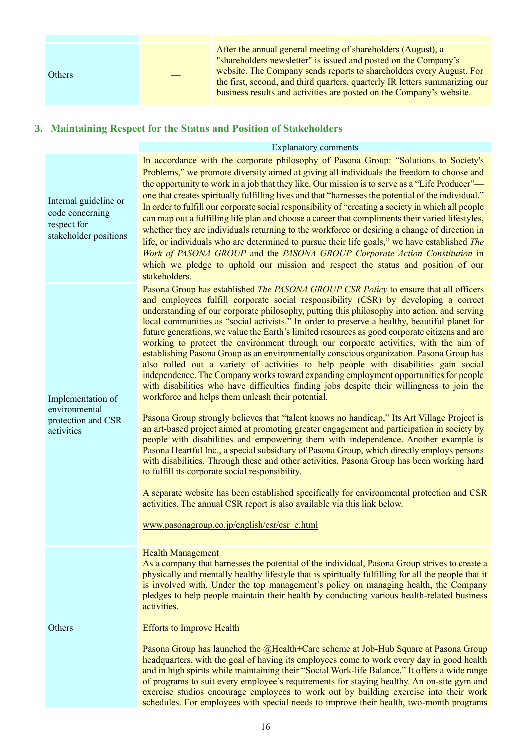| <b>Others</b> | After the annual general meeting of shareholders (August), a<br>"shareholders newsletter" is issued and posted on the Company's<br>website. The Company sends reports to shareholders every August. For<br>the first, second, and third quarters, quarterly IR letters summarizing our<br>business results and activities are posted on the Company's website. |
|---------------|----------------------------------------------------------------------------------------------------------------------------------------------------------------------------------------------------------------------------------------------------------------------------------------------------------------------------------------------------------------|
|               |                                                                                                                                                                                                                                                                                                                                                                |

# **3. Maintaining Respect for the Status and Position of Stakeholders**

## Explanatory comments

| Internal guideline or<br>code concerning<br>respect for<br>stakeholder positions | In accordance with the corporate philosophy of Pasona Group: "Solutions to Society's<br>Problems," we promote diversity aimed at giving all individuals the freedom to choose and<br>the opportunity to work in a job that they like. Our mission is to serve as a "Life Producer"—<br>one that creates spiritually fulfilling lives and that "harnesses the potential of the individual."<br>In order to fulfill our corporate social responsibility of "creating a society in which all people<br>can map out a fulfilling life plan and choose a career that compliments their varied lifestyles,<br>whether they are individuals returning to the workforce or desiring a change of direction in<br>life, or individuals who are determined to pursue their life goals," we have established The<br>Work of PASONA GROUP and the PASONA GROUP Corporate Action Constitution in<br>which we pledge to uphold our mission and respect the status and position of our<br>stakeholders.                                                                                                                                                                                                                                                                                                                                                                                                                                                                                                                                                                                                                                                                                                                                                                             |
|----------------------------------------------------------------------------------|---------------------------------------------------------------------------------------------------------------------------------------------------------------------------------------------------------------------------------------------------------------------------------------------------------------------------------------------------------------------------------------------------------------------------------------------------------------------------------------------------------------------------------------------------------------------------------------------------------------------------------------------------------------------------------------------------------------------------------------------------------------------------------------------------------------------------------------------------------------------------------------------------------------------------------------------------------------------------------------------------------------------------------------------------------------------------------------------------------------------------------------------------------------------------------------------------------------------------------------------------------------------------------------------------------------------------------------------------------------------------------------------------------------------------------------------------------------------------------------------------------------------------------------------------------------------------------------------------------------------------------------------------------------------------------------------------------------------------------------------------------------------|
| Implementation of<br>environmental<br>protection and CSR<br>activities           | Pasona Group has established <i>The PASONA GROUP CSR Policy</i> to ensure that all officers<br>and employees fulfill corporate social responsibility (CSR) by developing a correct<br>understanding of our corporate philosophy, putting this philosophy into action, and serving<br>local communities as "social activists." In order to preserve a healthy, beautiful planet for<br>future generations, we value the Earth's limited resources as good corporate citizens and are<br>working to protect the environment through our corporate activities, with the aim of<br>establishing Pasona Group as an environmentally conscious organization. Pasona Group has<br>also rolled out a variety of activities to help people with disabilities gain social<br>independence. The Company works toward expanding employment opportunities for people<br>with disabilities who have difficulties finding jobs despite their willingness to join the<br>workforce and helps them unleash their potential.<br>Pasona Group strongly believes that "talent knows no handicap," Its Art Village Project is<br>an art-based project aimed at promoting greater engagement and participation in society by<br>people with disabilities and empowering them with independence. Another example is<br>Pasona Heartful Inc., a special subsidiary of Pasona Group, which directly employs persons<br>with disabilities. Through these and other activities, Pasona Group has been working hard<br>to fulfill its corporate social responsibility.<br>A separate website has been established specifically for environmental protection and CSR<br>activities. The annual CSR report is also available via this link below.<br>www.pasonagroup.co.jp/english/csr/csr e.html |
| Others                                                                           | <b>Health Management</b><br>As a company that harnesses the potential of the individual, Pasona Group strives to create a<br>physically and mentally healthy lifestyle that is spiritually fulfilling for all the people that it<br>is involved with. Under the top management's policy on managing health, the Company<br>pledges to help people maintain their health by conducting various health-related business<br>activities.<br><b>Efforts to Improve Health</b><br>Pasona Group has launched the @Health+Care scheme at Job-Hub Square at Pasona Group<br>headquarters, with the goal of having its employees come to work every day in good health<br>and in high spirits while maintaining their "Social Work-life Balance." It offers a wide range<br>of programs to suit every employee's requirements for staying healthy. An on-site gym and<br>exercise studios encourage employees to work out by building exercise into their work<br>schedules. For employees with special needs to improve their health, two-month programs                                                                                                                                                                                                                                                                                                                                                                                                                                                                                                                                                                                                                                                                                                                     |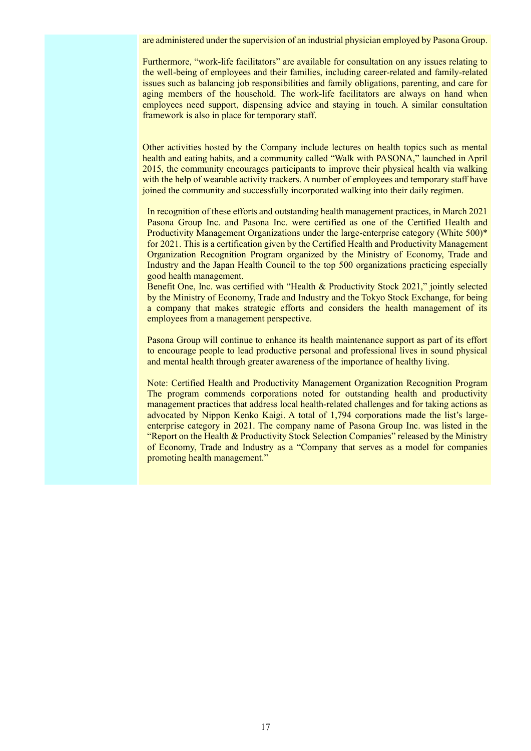are administered under the supervision of an industrial physician employed by Pasona Group.

Furthermore, "work-life facilitators" are available for consultation on any issues relating to the well-being of employees and their families, including career-related and family-related issues such as balancing job responsibilities and family obligations, parenting, and care for aging members of the household. The work-life facilitators are always on hand when employees need support, dispensing advice and staying in touch. A similar consultation framework is also in place for temporary staff.

Other activities hosted by the Company include lectures on health topics such as mental health and eating habits, and a community called "Walk with PASONA," launched in April 2015, the community encourages participants to improve their physical health via walking with the help of wearable activity trackers. A number of employees and temporary staff have joined the community and successfully incorporated walking into their daily regimen.

In recognition of these efforts and outstanding health management practices, in March 2021 Pasona Group Inc. and Pasona Inc. were certified as one of the Certified Health and Productivity Management Organizations under the large-enterprise category (White 500)\* for 2021. This is a certification given by the Certified Health and Productivity Management Organization Recognition Program organized by the Ministry of Economy, Trade and Industry and the Japan Health Council to the top 500 organizations practicing especially good health management.

Benefit One, Inc. was certified with "Health & Productivity Stock 2021," jointly selected by the Ministry of Economy, Trade and Industry and the Tokyo Stock Exchange, for being a company that makes strategic efforts and considers the health management of its employees from a management perspective.

Pasona Group will continue to enhance its health maintenance support as part of its effort to encourage people to lead productive personal and professional lives in sound physical and mental health through greater awareness of the importance of healthy living.

Note: Certified Health and Productivity Management Organization Recognition Program The program commends corporations noted for outstanding health and productivity management practices that address local health-related challenges and for taking actions as advocated by Nippon Kenko Kaigi. A total of 1,794 corporations made the list's largeenterprise category in 2021. The company name of Pasona Group Inc. was listed in the "Report on the Health & Productivity Stock Selection Companies" released by the Ministry of Economy, Trade and Industry as a "Company that serves as a model for companies promoting health management."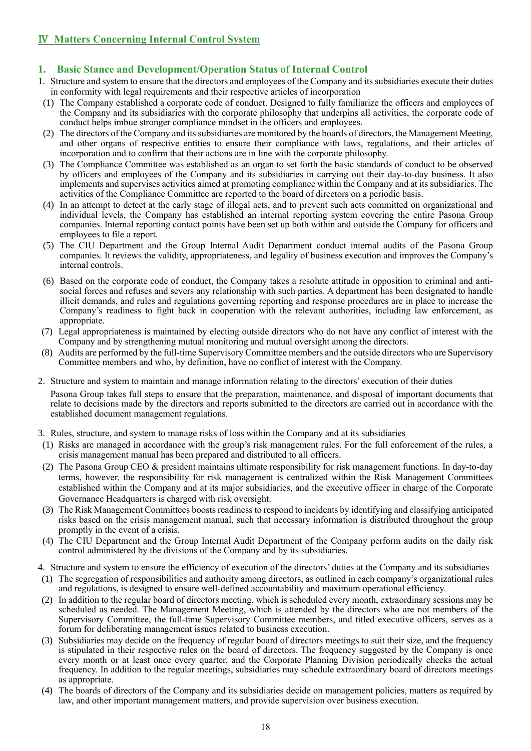# Ⅳ **Matters Concerning Internal Control System**

# **1. Basic Stance and Development/Operation Status of Internal Control**

- 1. Structure and system to ensure that the directors and employees of the Company and its subsidiaries execute their duties in conformity with legal requirements and their respective articles of incorporation
- (1) The Company established a corporate code of conduct. Designed to fully familiarize the officers and employees of the Company and its subsidiaries with the corporate philosophy that underpins all activities, the corporate code of conduct helps imbue stronger compliance mindset in the officers and employees.
- (2) The directors of the Company and its subsidiaries are monitored by the boards of directors, the Management Meeting, and other organs of respective entities to ensure their compliance with laws, regulations, and their articles of incorporation and to confirm that their actions are in line with the corporate philosophy.
- (3) The Compliance Committee was established as an organ to set forth the basic standards of conduct to be observed by officers and employees of the Company and its subsidiaries in carrying out their day-to-day business. It also implements and supervises activities aimed at promoting compliance within the Company and at its subsidiaries. The activities of the Compliance Committee are reported to the board of directors on a periodic basis.
- (4) In an attempt to detect at the early stage of illegal acts, and to prevent such acts committed on organizational and individual levels, the Company has established an internal reporting system covering the entire Pasona Group companies. Internal reporting contact points have been set up both within and outside the Company for officers and employees to file a report.
- (5) The CIU Department and the Group Internal Audit Department conduct internal audits of the Pasona Group companies. It reviews the validity, appropriateness, and legality of business execution and improves the Company's internal controls.
- (6) Based on the corporate code of conduct, the Company takes a resolute attitude in opposition to criminal and antisocial forces and refuses and severs any relationship with such parties. A department has been designated to handle illicit demands, and rules and regulations governing reporting and response procedures are in place to increase the Company's readiness to fight back in cooperation with the relevant authorities, including law enforcement, as appropriate.
- (7) Legal appropriateness is maintained by electing outside directors who do not have any conflict of interest with the Company and by strengthening mutual monitoring and mutual oversight among the directors.
- (8) Audits are performed by the full-time Supervisory Committee members and the outside directors who are Supervisory Committee members and who, by definition, have no conflict of interest with the Company.
- 2. Structure and system to maintain and manage information relating to the directors' execution of their duties Pasona Group takes full steps to ensure that the preparation, maintenance, and disposal of important documents that relate to decisions made by the directors and reports submitted to the directors are carried out in accordance with the established document management regulations.
- 3. Rules, structure, and system to manage risks of loss within the Company and at its subsidiaries
- (1) Risks are managed in accordance with the group's risk management rules. For the full enforcement of the rules, a crisis management manual has been prepared and distributed to all officers.
- (2) The Pasona Group CEO & president maintains ultimate responsibility for risk management functions. In day-to-day terms, however, the responsibility for risk management is centralized within the Risk Management Committees established within the Company and at its major subsidiaries, and the executive officer in charge of the Corporate Governance Headquarters is charged with risk oversight.
- (3) The Risk Management Committees boosts readiness to respond to incidents by identifying and classifying anticipated risks based on the crisis management manual, such that necessary information is distributed throughout the group promptly in the event of a crisis.
- (4) The CIU Department and the Group Internal Audit Department of the Company perform audits on the daily risk control administered by the divisions of the Company and by its subsidiaries.
- 4. Structure and system to ensure the efficiency of execution of the directors' duties at the Company and its subsidiaries
- (1) The segregation of responsibilities and authority among directors, as outlined in each company's organizational rules and regulations, is designed to ensure well-defined accountability and maximum operational efficiency.
- (2) In addition to the regular board of directors meeting, which is scheduled every month, extraordinary sessions may be scheduled as needed. The Management Meeting, which is attended by the directors who are not members of the Supervisory Committee, the full-time Supervisory Committee members, and titled executive officers, serves as a forum for deliberating management issues related to business execution.
- (3) Subsidiaries may decide on the frequency of regular board of directors meetings to suit their size, and the frequency is stipulated in their respective rules on the board of directors. The frequency suggested by the Company is once every month or at least once every quarter, and the Corporate Planning Division periodically checks the actual frequency. In addition to the regular meetings, subsidiaries may schedule extraordinary board of directors meetings as appropriate.
- (4) The boards of directors of the Company and its subsidiaries decide on management policies, matters as required by law, and other important management matters, and provide supervision over business execution.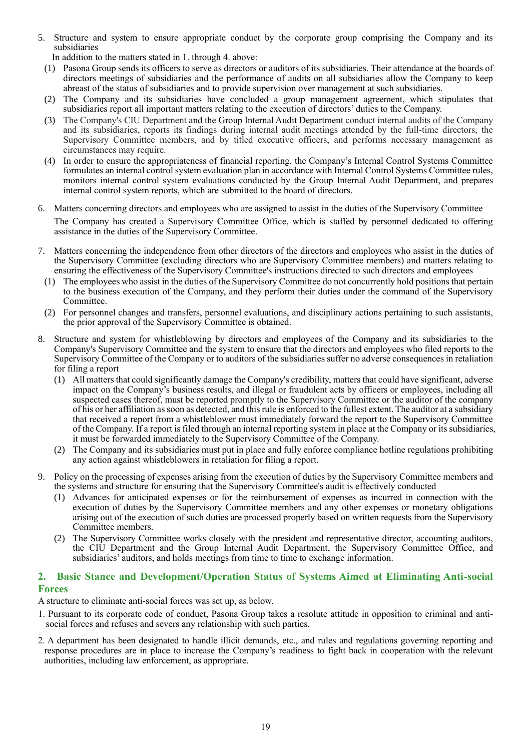5. Structure and system to ensure appropriate conduct by the corporate group comprising the Company and its subsidiaries

In addition to the matters stated in 1. through 4. above:

- (1) Pasona Group sends its officers to serve as directors or auditors of its subsidiaries. Their attendance at the boards of directors meetings of subsidiaries and the performance of audits on all subsidiaries allow the Company to keep abreast of the status of subsidiaries and to provide supervision over management at such subsidiaries.
- (2) The Company and its subsidiaries have concluded a group management agreement, which stipulates that subsidiaries report all important matters relating to the execution of directors' duties to the Company.
- (3) The Company's CIU Department and the Group Internal Audit Department conduct internal audits of the Company and its subsidiaries, reports its findings during internal audit meetings attended by the full-time directors, the Supervisory Committee members, and by titled executive officers, and performs necessary management as circumstances may require.
- (4) In order to ensure the appropriateness of financial reporting, the Company's Internal Control Systems Committee formulates an internal control system evaluation plan in accordance with Internal Control Systems Committee rules, monitors internal control system evaluations conducted by the Group Internal Audit Department, and prepares internal control system reports, which are submitted to the board of directors.

#### 6. Matters concerning directors and employees who are assigned to assist in the duties of the Supervisory Committee

The Company has created a Supervisory Committee Office, which is staffed by personnel dedicated to offering assistance in the duties of the Supervisory Committee.

- 7. Matters concerning the independence from other directors of the directors and employees who assist in the duties of the Supervisory Committee (excluding directors who are Supervisory Committee members) and matters relating to ensuring the effectiveness of the Supervisory Committee's instructions directed to such directors and employees
	- (1) The employees who assist in the duties of the Supervisory Committee do not concurrently hold positions that pertain to the business execution of the Company, and they perform their duties under the command of the Supervisory Committee.
- (2) For personnel changes and transfers, personnel evaluations, and disciplinary actions pertaining to such assistants, the prior approval of the Supervisory Committee is obtained.
- 8. Structure and system for whistleblowing by directors and employees of the Company and its subsidiaries to the Company's Supervisory Committee and the system to ensure that the directors and employees who filed reports to the Supervisory Committee of the Company or to auditors of the subsidiaries suffer no adverse consequences in retaliation for filing a report
	- (1) All matters that could significantly damage the Company's credibility, matters that could have significant, adverse impact on the Company's business results, and illegal or fraudulent acts by officers or employees, including all suspected cases thereof, must be reported promptly to the Supervisory Committee or the auditor of the company of his or her affiliation as soon as detected, and this rule is enforced to the fullest extent. The auditor at a subsidiary that received a report from a whistleblower must immediately forward the report to the Supervisory Committee of the Company. If a report is filed through an internal reporting system in place at the Company or its subsidiaries, it must be forwarded immediately to the Supervisory Committee of the Company.
	- (2) The Company and its subsidiaries must put in place and fully enforce compliance hotline regulations prohibiting any action against whistleblowers in retaliation for filing a report.
- 9. Policy on the processing of expenses arising from the execution of duties by the Supervisory Committee members and the systems and structure for ensuring that the Supervisory Committee's audit is effectively conducted
	- (1) Advances for anticipated expenses or for the reimbursement of expenses as incurred in connection with the execution of duties by the Supervisory Committee members and any other expenses or monetary obligations arising out of the execution of such duties are processed properly based on written requests from the Supervisory Committee members.
	- (2) The Supervisory Committee works closely with the president and representative director, accounting auditors, the CIU Department and the Group Internal Audit Department, the Supervisory Committee Office, and subsidiaries' auditors, and holds meetings from time to time to exchange information.

#### **2. Basic Stance and Development/Operation Status of Systems Aimed at Eliminating Anti-social Forces**

A structure to eliminate anti-social forces was set up, as below.

- 1. Pursuant to its corporate code of conduct, Pasona Group takes a resolute attitude in opposition to criminal and antisocial forces and refuses and severs any relationship with such parties.
- 2. A department has been designated to handle illicit demands, etc., and rules and regulations governing reporting and response procedures are in place to increase the Company's readiness to fight back in cooperation with the relevant authorities, including law enforcement, as appropriate.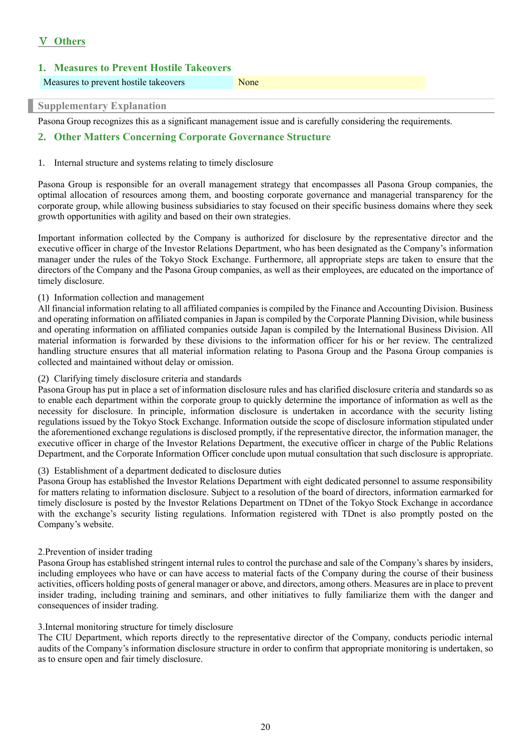# Ⅴ **Others**

| 1. Measures to Prevent Hostile Takeovers |      |  |  |  |  |  |  |
|------------------------------------------|------|--|--|--|--|--|--|
| Measures to prevent hostile takeovers    | None |  |  |  |  |  |  |
| <b>Supplementary Explanation</b>         |      |  |  |  |  |  |  |

Pasona Group recognizes this as a significant management issue and is carefully considering the requirements.

## **2. Other Matters Concerning Corporate Governance Structure**

#### 1. Internal structure and systems relating to timely disclosure

Pasona Group is responsible for an overall management strategy that encompasses all Pasona Group companies, the optimal allocation of resources among them, and boosting corporate governance and managerial transparency for the corporate group, while allowing business subsidiaries to stay focused on their specific business domains where they seek growth opportunities with agility and based on their own strategies.

Important information collected by the Company is authorized for disclosure by the representative director and the executive officer in charge of the Investor Relations Department, who has been designated as the Company's information manager under the rules of the Tokyo Stock Exchange. Furthermore, all appropriate steps are taken to ensure that the directors of the Company and the Pasona Group companies, as well as their employees, are educated on the importance of timely disclosure.

#### (1) Information collection and management

All financial information relating to all affiliated companies is compiled by the Finance and Accounting Division. Business and operating information on affiliated companies in Japan is compiled by the Corporate Planning Division, while business and operating information on affiliated companies outside Japan is compiled by the International Business Division. All material information is forwarded by these divisions to the information officer for his or her review. The centralized handling structure ensures that all material information relating to Pasona Group and the Pasona Group companies is collected and maintained without delay or omission.

#### (2) Clarifying timely disclosure criteria and standards

Pasona Group has put in place a set of information disclosure rules and has clarified disclosure criteria and standards so as to enable each department within the corporate group to quickly determine the importance of information as well as the necessity for disclosure. In principle, information disclosure is undertaken in accordance with the security listing regulations issued by the Tokyo Stock Exchange. Information outside the scope of disclosure information stipulated under the aforementioned exchange regulations is disclosed promptly, if the representative director, the information manager, the executive officer in charge of the Investor Relations Department, the executive officer in charge of the Public Relations Department, and the Corporate Information Officer conclude upon mutual consultation that such disclosure is appropriate.

#### (3) Establishment of a department dedicated to disclosure duties

Pasona Group has established the Investor Relations Department with eight dedicated personnel to assume responsibility for matters relating to information disclosure. Subject to a resolution of the board of directors, information earmarked for timely disclosure is posted by the Investor Relations Department on TDnet of the Tokyo Stock Exchange in accordance with the exchange's security listing regulations. Information registered with TDnet is also promptly posted on the Company's website.

#### 2.Prevention of insider trading

Pasona Group has established stringent internal rules to control the purchase and sale of the Company's shares by insiders, including employees who have or can have access to material facts of the Company during the course of their business activities, officers holding posts of general manager or above, and directors, among others. Measures are in place to prevent insider trading, including training and seminars, and other initiatives to fully familiarize them with the danger and consequences of insider trading.

#### 3.Internal monitoring structure for timely disclosure

The CIU Department, which reports directly to the representative director of the Company, conducts periodic internal audits of the Company's information disclosure structure in order to confirm that appropriate monitoring is undertaken, so as to ensure open and fair timely disclosure.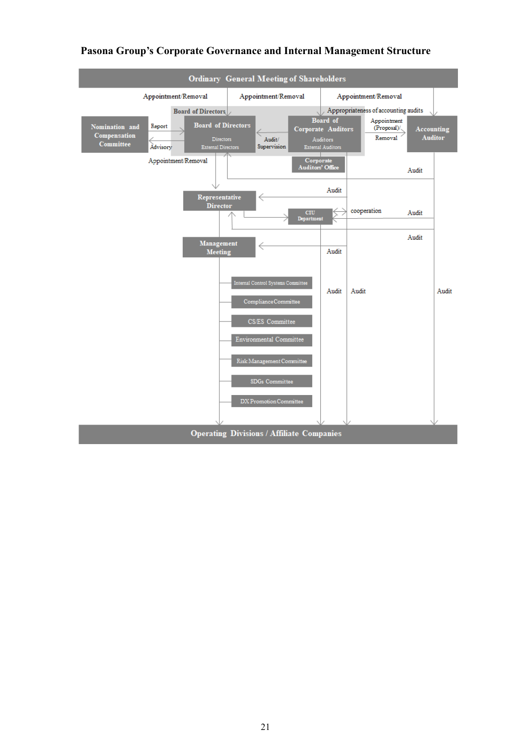

## **Pasona Group's Corporate Governance and Internal Management Structure**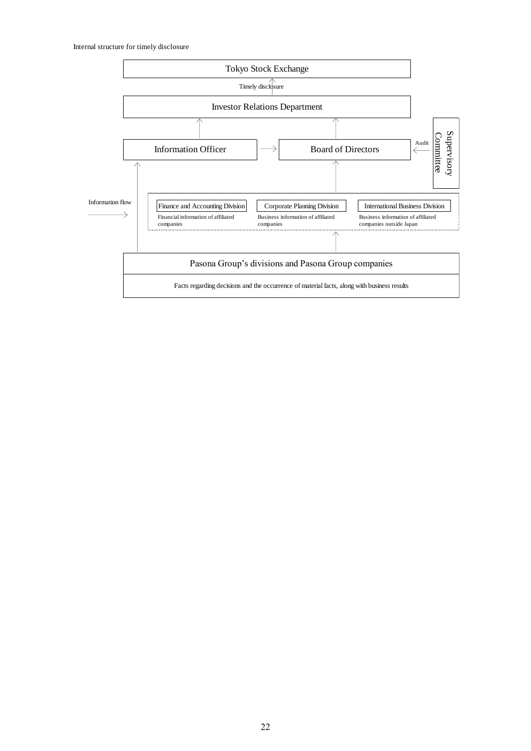